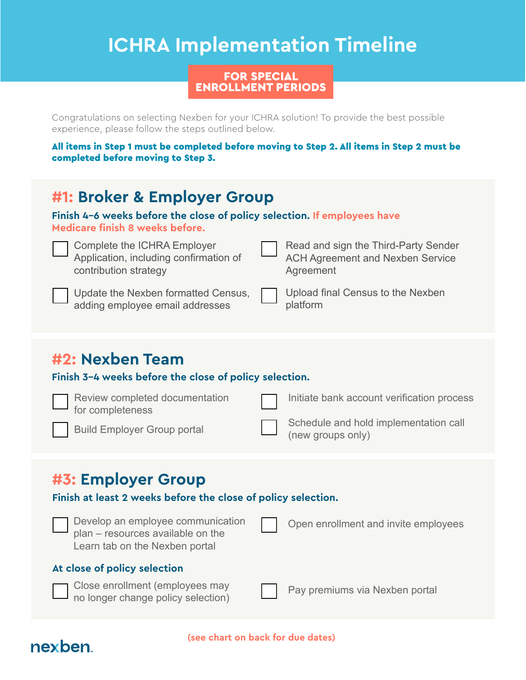# **ICHRA Implementation Timeline**

FOR SPECIAL ENROLLMENT PERIODS

Congratulations on selecting Nexben for your ICHRA solution! To provide the best possible experience, please follow the steps outlined below.

All items in Step 1 must be completed before moving to Step 2. All items in Step 2 must be completed before moving to Step 3.

#### **#1: Broker & Employer Group**

**Finish 4-6 weeks before the close of policy selection. If employees have Medicare finish 8 weeks before.**

| Complete the ICHRA Employer<br>Application, including confirmation of<br>contribution strategy | Read and sign the Third-Party Sender<br>ACH Agreement and Nexben Service<br>Agreement |
|------------------------------------------------------------------------------------------------|---------------------------------------------------------------------------------------|
| Update the Nexben formatted Census,                                                            | Upload final Census to the Nexben                                                     |
| adding employee email addresses                                                                | platform                                                                              |

### **#2: Nexben Team**

#### **Finish 3-4 weeks before the close of policy selection.**

| Review completed documentation<br>for completeness | Initiate bank account verification process                 |
|----------------------------------------------------|------------------------------------------------------------|
| <b>Build Employer Group portal</b>                 | Schedule and hold implementation call<br>(new groups only) |

### **#3: Employer Group**

**Finish at least 2 weeks before the close of policy selection.**

Develop an employee communication plan – resources available on the Learn tab on the Nexben portal

Open enrollment and invite employees

**At close of policy selection**

|  | Close enrollment (employees may    |  |  |
|--|------------------------------------|--|--|
|  | no longer change policy selection) |  |  |

Pay premiums via Nexben portal

#### nexben

#### **(see chart on back for due dates)**